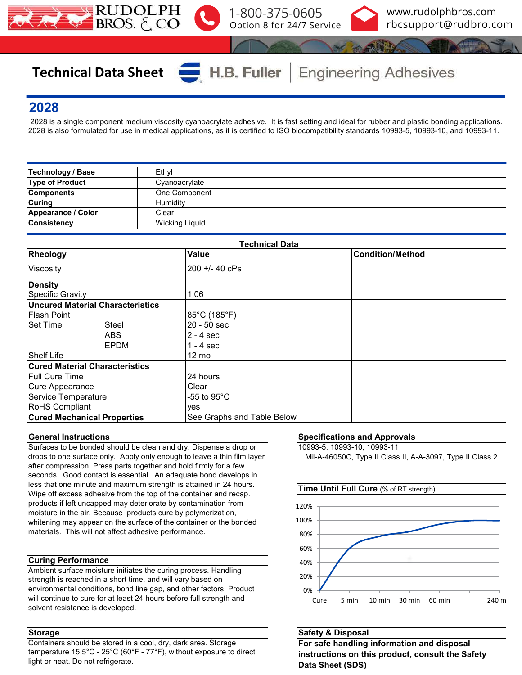



# **Technical Data Sheet**

**Engineering Adhesives** 

## **2028**

 2028 is a single component medium viscosity cyanoacrylate adhesive. It is fast setting and ideal for rubber and plastic bonding applications. 2028 is also formulated for use in medical applications, as it is certified to ISO biocompatibility standards 10993-5, 10993-10, and 10993-11.

H.B. Fuller

| Technology / Base         | Ethyl                 |
|---------------------------|-----------------------|
| <b>Type of Product</b>    | Cyanoacrylate         |
| <b>Components</b>         | One Component         |
| <b>Curing</b>             | Humidity              |
| <b>Appearance / Color</b> | Clear                 |
| <b>Consistency</b>        | <b>Wicking Liquid</b> |

| <b>Technical Data</b>                   |                            |                         |  |  |  |  |  |  |
|-----------------------------------------|----------------------------|-------------------------|--|--|--|--|--|--|
| Rheology                                | <b>Value</b>               | <b>Condition/Method</b> |  |  |  |  |  |  |
| Viscosity                               | 200 +/- 40 cPs             |                         |  |  |  |  |  |  |
| <b>Density</b>                          |                            |                         |  |  |  |  |  |  |
| <b>Specific Gravity</b>                 | 1.06                       |                         |  |  |  |  |  |  |
| <b>Uncured Material Characteristics</b> |                            |                         |  |  |  |  |  |  |
| <b>Flash Point</b>                      | 85°C (185°F)               |                         |  |  |  |  |  |  |
| <b>Set Time</b><br><b>Steel</b>         | 20 - 50 sec                |                         |  |  |  |  |  |  |
| <b>ABS</b>                              | $2 - 4$ sec                |                         |  |  |  |  |  |  |
| EPDM                                    | 1 - 4 sec                  |                         |  |  |  |  |  |  |
| <b>Shelf Life</b>                       | $12 \text{ mo}$            |                         |  |  |  |  |  |  |
| <b>Cured Material Characteristics</b>   |                            |                         |  |  |  |  |  |  |
| <b>Full Cure Time</b>                   | 24 hours                   |                         |  |  |  |  |  |  |
| Cure Appearance                         | Clear                      |                         |  |  |  |  |  |  |
| Service Temperature                     | -55 to 95 $^{\circ}$ C     |                         |  |  |  |  |  |  |
| RoHS Compliant                          | yes                        |                         |  |  |  |  |  |  |
| <b>Cured Mechanical Properties</b>      | See Graphs and Table Below |                         |  |  |  |  |  |  |

### **General Instructions**

Surfaces to be bonded should be clean and dry. Dispense a drop or drops to one surface only. Apply only enough to leave a thin film layer after compression. Press parts together and hold firmly for a few seconds. Good contact is essential. An adequate bond develops in less that one minute and maximum strength is attained in 24 hours. Wipe off excess adhesive from the top of the container and recap. products if left uncapped may deteriorate by contamination from moisture in the air. Because products cure by polymerization, whitening may appear on the surface of the container or the bonded materials. This will not affect adhesive performance.

### **Curing Performance**

Ambient surface moisture initiates the curing process. Handling strength is reached in a short time, and will vary based on environmental conditions, bond line gap, and other factors. Product will continue to cure for at least 24 hours before full strength and solvent resistance is developed.

### **Storage**

Containers should be stored in a cool, dry, dark area. Storage temperature 15.5°C - 25°C (60°F - 77°F), without exposure to direct light or heat. Do not refrigerate.

### **Specifications and Approvals**

10993-5, 10993-10, 10993-11

Mil-A-46050C, Type II Class II, A-A-3097, Type II Class 2



### **Safety & Disposal**

**For safe handling information and disposal instructions on this product, consult the Safety Data Sheet (SDS)**